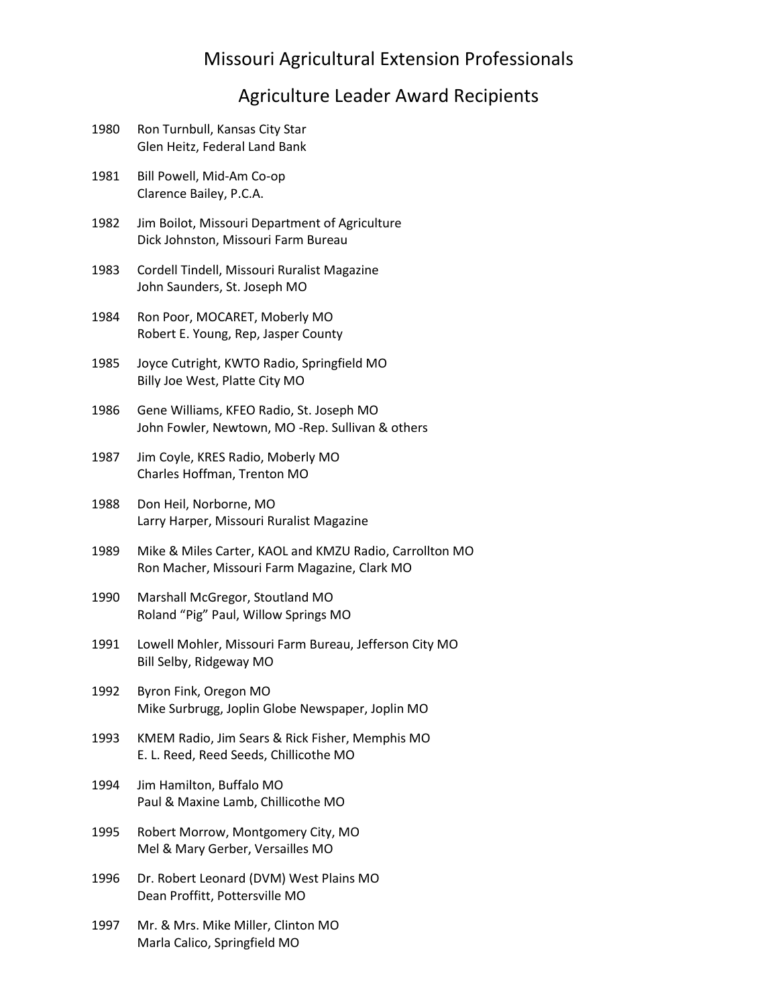## Agriculture Leader Award Recipients

| 1980 | Ron Turnbull, Kansas City Star<br>Glen Heitz, Federal Land Bank                                         |
|------|---------------------------------------------------------------------------------------------------------|
| 1981 | Bill Powell, Mid-Am Co-op<br>Clarence Bailey, P.C.A.                                                    |
| 1982 | Jim Boilot, Missouri Department of Agriculture<br>Dick Johnston, Missouri Farm Bureau                   |
| 1983 | Cordell Tindell, Missouri Ruralist Magazine<br>John Saunders, St. Joseph MO                             |
| 1984 | Ron Poor, MOCARET, Moberly MO<br>Robert E. Young, Rep, Jasper County                                    |
| 1985 | Joyce Cutright, KWTO Radio, Springfield MO<br>Billy Joe West, Platte City MO                            |
| 1986 | Gene Williams, KFEO Radio, St. Joseph MO<br>John Fowler, Newtown, MO -Rep. Sullivan & others            |
| 1987 | Jim Coyle, KRES Radio, Moberly MO<br>Charles Hoffman, Trenton MO                                        |
| 1988 | Don Heil, Norborne, MO<br>Larry Harper, Missouri Ruralist Magazine                                      |
| 1989 | Mike & Miles Carter, KAOL and KMZU Radio, Carrollton MO<br>Ron Macher, Missouri Farm Magazine, Clark MO |
| 1990 | Marshall McGregor, Stoutland MO<br>Roland "Pig" Paul, Willow Springs MO                                 |
| 1991 | Lowell Mohler, Missouri Farm Bureau, Jefferson City MO<br>Bill Selby, Ridgeway MO                       |
| 1992 | Byron Fink, Oregon MO<br>Mike Surbrugg, Joplin Globe Newspaper, Joplin MO                               |
| 1993 | KMEM Radio, Jim Sears & Rick Fisher, Memphis MO<br>E. L. Reed, Reed Seeds, Chillicothe MO               |
| 1994 | Jim Hamilton, Buffalo MO<br>Paul & Maxine Lamb, Chillicothe MO                                          |
| 1995 | Robert Morrow, Montgomery City, MO<br>Mel & Mary Gerber, Versailles MO                                  |
| 1996 | Dr. Robert Leonard (DVM) West Plains MO<br>Dean Proffitt, Pottersville MO                               |
| 1997 | Mr. & Mrs. Mike Miller, Clinton MO<br>Marla Calico, Springfield MO                                      |
|      |                                                                                                         |